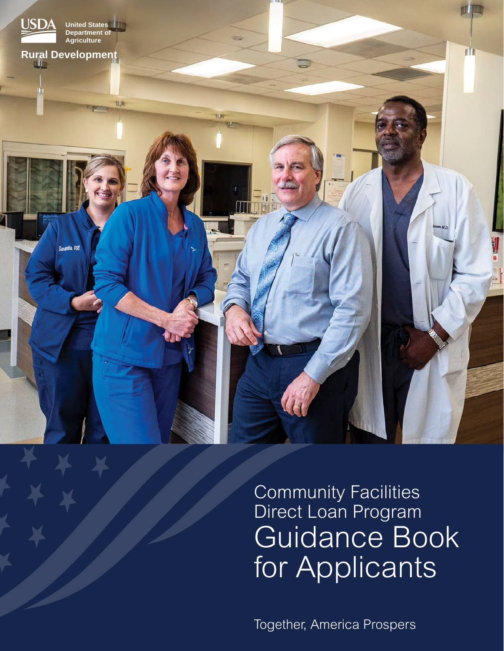

# Community Facilities Direct Loan Program Guidance Book for Applicants

Together, America Prospers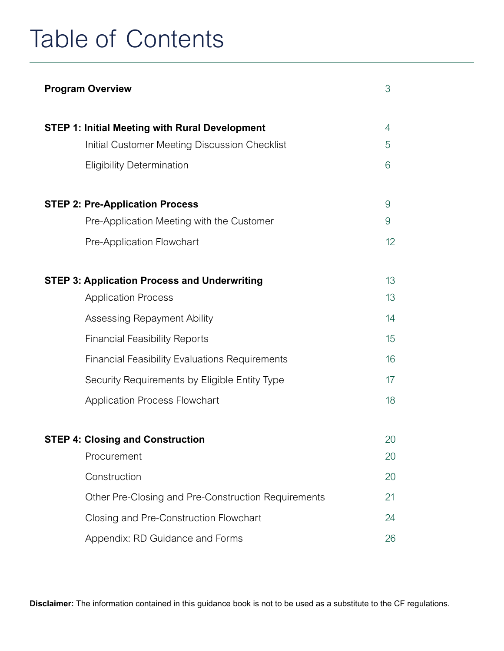# Table of Contents

| <b>Program Overview</b>                               | 3              |
|-------------------------------------------------------|----------------|
| <b>STEP 1: Initial Meeting with Rural Development</b> | $\overline{4}$ |
| Initial Customer Meeting Discussion Checklist         | 5              |
| <b>Eligibility Determination</b>                      | 6              |
| <b>STEP 2: Pre-Application Process</b>                | 9              |
| Pre-Application Meeting with the Customer             | 9              |
| Pre-Application Flowchart                             | 12             |
| <b>STEP 3: Application Process and Underwriting</b>   | 13             |
| <b>Application Process</b>                            | 13             |
| Assessing Repayment Ability                           | 14             |
| <b>Financial Feasibility Reports</b>                  | 15             |
| <b>Financial Feasibility Evaluations Requirements</b> | 16             |
| Security Requirements by Eligible Entity Type         | 17             |
| <b>Application Process Flowchart</b>                  | 18             |
| <b>STEP 4: Closing and Construction</b>               |                |
| Procurement                                           | 20             |
| Construction                                          | 20             |
| Other Pre-Closing and Pre-Construction Requirements   | 21             |
| Closing and Pre-Construction Flowchart                | 24             |
| Appendix: RD Guidance and Forms                       | 26             |

**Disclaimer:** The information contained in this guidance book is not to be used as a substitute to the CF regulations.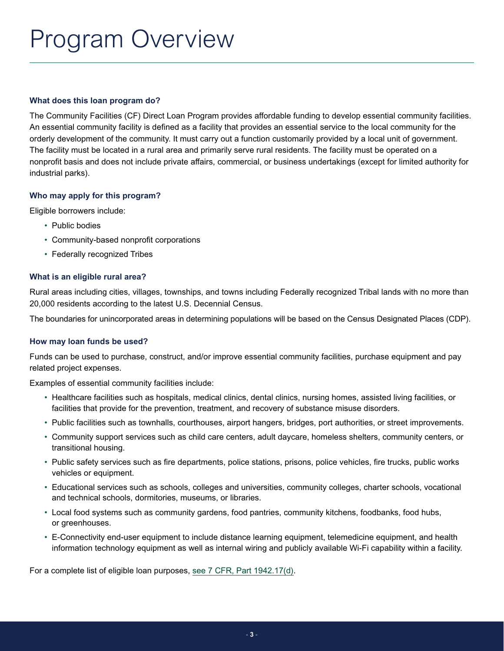# <span id="page-2-0"></span>Program Overview

### **What does this loan program do?**

The Community Facilities (CF) Direct Loan Program provides affordable funding to develop essential community facilities. An essential community facility is defined as a facility that provides an essential service to the local community for the orderly development of the community. It must carry out a function customarily provided by a local unit of government. The facility must be located in a rural area and primarily serve rural residents. The facility must be operated on a nonprofit basis and does not include private affairs, commercial, or business undertakings (except for limited authority for industrial parks).

## **Who may apply for this program?**

Eligible borrowers include:

- Public bodies
- Community-based nonprofit corporations
- Federally recognized Tribes

### **What is an eligible rural area?**

Rural areas including cities, villages, townships, and towns including Federally recognized Tribal lands with no more than 20,000 residents according to the latest U.S. Decennial Census.

The boundaries for unincorporated areas in determining populations will be based on the Census Designated Places (CDP).

### **How may loan funds be used?**

Funds can be used to purchase, construct, and/or improve essential community facilities, purchase equipment and pay related project expenses.

Examples of essential community facilities include:

- Healthcare facilities such as hospitals, medical clinics, dental clinics, nursing homes, assisted living facilities, or facilities that provide for the prevention, treatment, and recovery of substance misuse disorders.
- Public facilities such as townhalls, courthouses, airport hangers, bridges, port authorities, or street improvements.
- Community support services such as child care centers, adult daycare, homeless shelters, community centers, or transitional housing.
- Public safety services such as fire departments, police stations, prisons, police vehicles, fire trucks, public works vehicles or equipment.
- Educational services such as schools, colleges and universities, community colleges, charter schools, vocational and technical schools, dormitories, museums, or libraries.
- Local food systems such as community gardens, food pantries, community kitchens, foodbanks, food hubs, or greenhouses.
- E-Connectivity end-user equipment to include distance learning equipment, telemedicine equipment, and health information technology equipment as well as internal wiring and publicly available Wi-Fi capability within a facility.

For a complete list of eligible loan purposes, [see 7 CFR, Part 1942.17\(d\).](https://www.rd.usda.gov/files/1942a.pdf#page=37)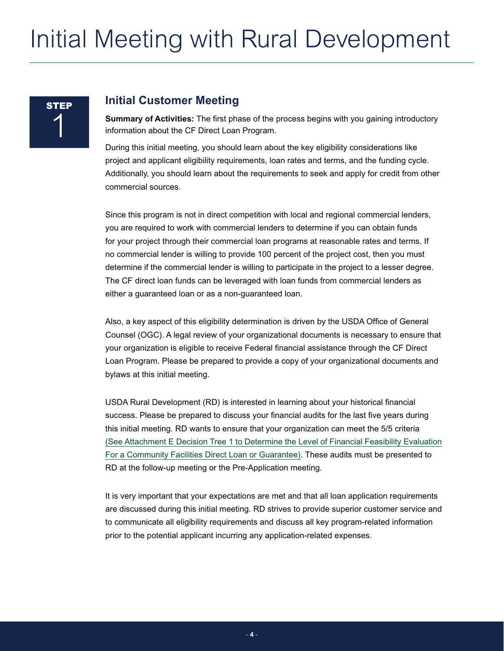# <span id="page-3-0"></span>Initial Meeting with Rural Development

# **STEP** 1

## **Initial Customer Meeting**

**Summary of Activities:** The first phase of the process begins with you gaining introductory information about the CF Direct Loan Program.

During this initial meeting, you should learn about the key eligibility considerations like project and applicant eligibility requirements, loan rates and terms, and the funding cycle. Additionally, you should learn about the requirements to seek and apply for credit from other commercial sources.

Since this program is not in direct competition with local and regional commercial lenders, you are required to work with commercial lenders to determine if you can obtain funds for your project through their commercial loan programs at reasonable rates and terms. If no commercial lender is willing to provide 100 percent of the project cost, then you must determine if the commercial lender is willing to participate in the project to a lesser degree. The CF direct loan funds can be leveraged with loan funds from commercial lenders as either a guaranteed loan or as a non-guaranteed loan.

Also, a key aspect of this eligibility determination is driven by the USDA Office of General Counsel (OGC). A legal review of your organizational documents is necessary to ensure that your organization is eligible to receive Federal financial assistance through the CF Direct Loan Program. Please be prepared to provide a copy of your organizational documents and bylaws at this initial meeting.

USDA Rural Development (RD) is interested in learning about your historical financial success. Please be prepared to discuss your financial audits for the last five years during this initial meeting. RD wants to ensure that your organization can meet the 5/5 criteria (See Attachment E [Decision Tree 1 to Determine the Level of Financial Feasibility Evaluation](#page-34-0) [For a Community Facilities Direct Loan or Guarantee\)](#page-34-0). These audits must be presented to RD at the follow-up meeting or the Pre-Application meeting.

It is very important that your expectations are met and that all loan application requirements are discussed during this initial meeting. RD strives to provide superior customer service and to communicate all eligibility requirements and discuss all key program-related information prior to the potential applicant incurring any application-related expenses.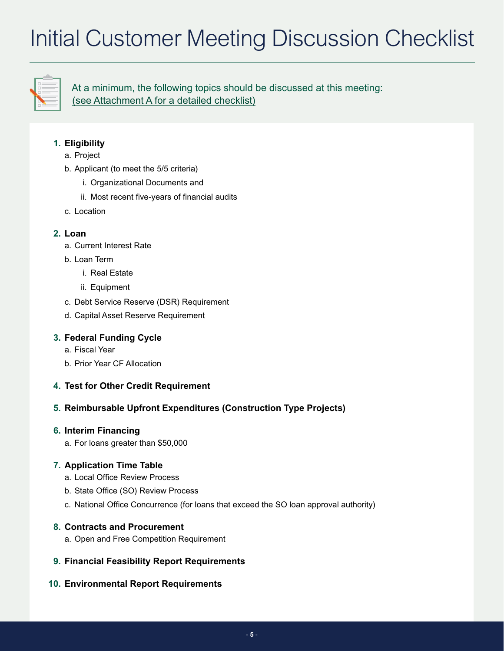# <span id="page-4-0"></span>Initial Customer Meeting Discussion Checklist



At a minimum, the following topics should be discussed at this meeting: [\(see Attachment A for a detailed checklist\)](#page-26-0)

## **1. Eligibility**

- a. Project
- b. Applicant (to meet the 5/5 criteria)
	- i. Organizational Documents and
	- ii. Most recent five-years of financial audits
- c. Location

## **2. Loan**

- a. Current Interest Rate
- b. Loan Term
	- i. Real Estate
	- ii. Equipment
- c. Debt Service Reserve (DSR) Requirement
- d. Capital Asset Reserve Requirement

## **3. Federal Funding Cycle**

- a. Fiscal Year
- b. Prior Year CF Allocation

## **4. Test for Other Credit Requirement**

## **5. Reimbursable Upfront Expenditures (Construction Type Projects)**

## **6. Interim Financing**

a. For loans greater than \$50,000

## **7. Application Time Table**

- a. Local Office Review Process
- b. State Office (SO) Review Process
- c. National Office Concurrence (for loans that exceed the SO loan approval authority)

## **8. Contracts and Procurement**

- a. Open and Free Competition Requirement
- **9. Financial Feasibility Report Requirements**
- **10. Environmental Report Requirements**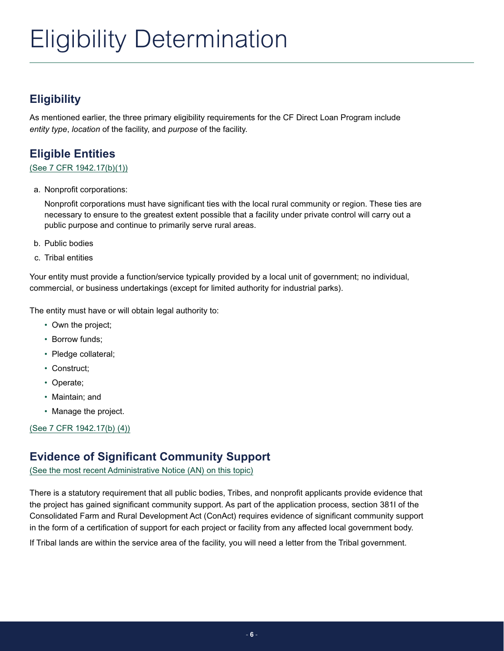# <span id="page-5-0"></span>Eligibility Determination

# **Eligibility**

As mentioned earlier, the three primary eligibility requirements for the CF Direct Loan Program include *entity type*, *location* of the facility, and *purpose* of the facility.

# **Eligible Entities**

## [\(See 7 CFR 1942.17\(b\)\(1\)\)](https://www.rd.usda.gov/files/1942a.pdf#page=29)

a. Nonprofit corporations:

Nonprofit corporations must have significant ties with the local rural community or region. These ties are necessary to ensure to the greatest extent possible that a facility under private control will carry out a public purpose and continue to primarily serve rural areas.

- b. Public bodies
- c. Tribal entities

Your entity must provide a function/service typically provided by a local unit of government; no individual, commercial, or business undertakings (except for limited authority for industrial parks).

The entity must have or will obtain legal authority to:

- Own the project;
- Borrow funds;
- Pledge collateral;
- Construct;
- Operate;
- Maintain; and
- Manage the project.

[\(See 7 CFR 1942.17\(b\) \(4\)\)](https://www.rd.usda.gov/files/1942a.pdf#page=31)

## **Evidence of Significant Community Support**

[\(See the most recent Administrative Notice \(AN\) on this topic\)](https://www.rd.usda.gov/files/an4818.pdf)

There is a statutory requirement that all public bodies, Tribes, and nonprofit applicants provide evidence that the project has gained significant community support. As part of the application process, section 381I of the Consolidated Farm and Rural Development Act (ConAct) requires evidence of significant community support in the form of a certification of support for each project or facility from any affected local government body.

If Tribal lands are within the service area of the facility, you will need a letter from the Tribal government.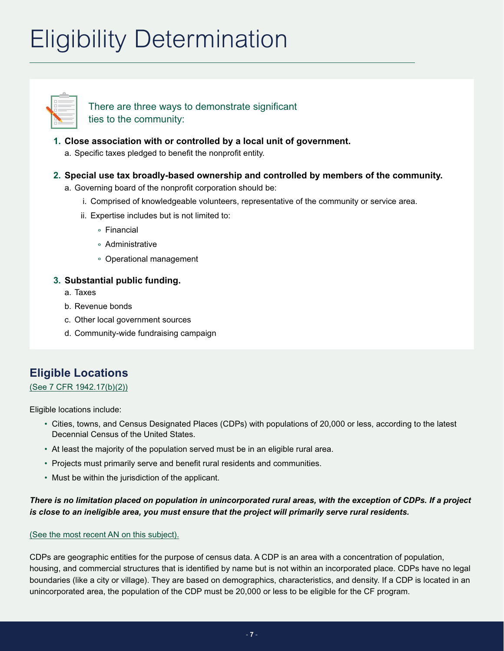# Eligibility Determination



There are three ways to demonstrate significant ties to the community:

## **1. Close association with or controlled by a local unit of government.**

a. Specific taxes pledged to benefit the nonprofit entity.

## **2. Special use tax broadly-based ownership and controlled by members of the community.**

- a. Governing board of the nonprofit corporation should be:
	- i. Comprised of knowledgeable volunteers, representative of the community or service area.
	- ii. Expertise includes but is not limited to:
		- **°** Financial
		- **°** Administrative
		- **°** Operational management

## **3. Substantial public funding.**

- a. Taxes
- b. Revenue bonds
- c. Other local government sources
- d. Community-wide fundraising campaign

# **Eligible Locations**

## [\(See 7 CFR 1942.17\(b\)\(2\)\)](https://www.rd.usda.gov/files/1942a.pdf#page=30)

Eligible locations include:

- Cities, towns, and Census Designated Places (CDPs) with populations of 20,000 or less, according to the latest Decennial Census of the United States.
- At least the majority of the population served must be in an eligible rural area.
- Projects must primarily serve and benefit rural residents and communities.
- Must be within the jurisdiction of the applicant.

## *There is no limitation placed on population in unincorporated rural areas, with the exception of CDPs. If a project is close to an ineligible area, you must ensure that the project will primarily serve rural residents.*

## [\(See the most recent AN on this subject\).](https://www.rd.usda.gov/files/an4834.pdf)

CDPs are geographic entities for the purpose of census data. A CDP is an area with a concentration of population, housing, and commercial structures that is identified by name but is not within an incorporated place. CDPs have no legal boundaries (like a city or village). They are based on demographics, characteristics, and density. If a CDP is located in an unincorporated area, the population of the CDP must be 20,000 or less to be eligible for the CF program.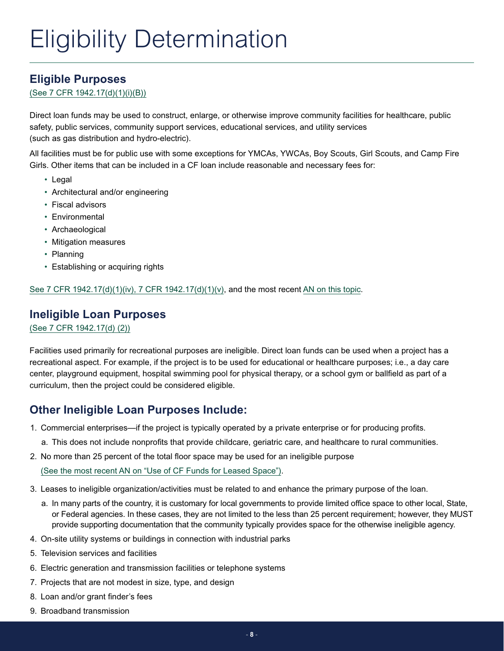# **Eligible Purposes**

[\(See 7 CFR 1942.17\(d\)\(1\)\(i\)\(B\)\)](https://www.rd.usda.gov/files/1942a.pdf#page=37)

Direct loan funds may be used to construct, enlarge, or otherwise improve community facilities for healthcare, public safety, public services, community support services, educational services, and utility services (such as gas distribution and hydro-electric).

All facilities must be for public use with some exceptions for YMCAs, YWCAs, Boy Scouts, Girl Scouts, and Camp Fire Girls. Other items that can be included in a CF loan include reasonable and necessary fees for:

- Legal
- Architectural and/or engineering
- Fiscal advisors
- Environmental
- Archaeological
- Mitigation measures
- Planning
- Establishing or acquiring rights

[See 7 CFR 1942.17\(d\)\(1\)\(iv\), 7 CFR 1942.17\(d\)\(1\)\(v\)](https://www.rd.usda.gov/files/1942a.pdf#page=39), and the most recent [AN on this topic](https://www.rd.usda.gov/files/an4859.pdf).

## **Ineligible Loan Purposes**

[\(See 7 CFR 1942.17\(d\) \(2\)\)](https://www.rd.usda.gov/files/1942a.pdf#page=42)

Facilities used primarily for recreational purposes are ineligible. Direct loan funds can be used when a project has a recreational aspect. For example, if the project is to be used for educational or healthcare purposes; i.e., a day care center, playground equipment, hospital swimming pool for physical therapy, or a school gym or ballfield as part of a curriculum, then the project could be considered eligible.

# **Other Ineligible Loan Purposes Include:**

- 1. Commercial enterprises—if the project is typically operated by a private enterprise or for producing profits.
	- a. This does not include nonprofits that provide childcare, geriatric care, and healthcare to rural communities.
- 2. No more than 25 percent of the total floor space may be used for an ineligible purpose

[\(See the most recent AN on "Use of CF Funds for Leased Space"\).](https://www.rd.usda.gov/files/an4826.pdf)

- 3. Leases to ineligible organization/activities must be related to and enhance the primary purpose of the loan.
	- a. In many parts of the country, it is customary for local governments to provide limited office space to other local, State, or Federal agencies. In these cases, they are not limited to the less than 25 percent requirement; however, they MUST provide supporting documentation that the community typically provides space for the otherwise ineligible agency.
- 4. On-site utility systems or buildings in connection with industrial parks
- 5. Television services and facilities
- 6. Electric generation and transmission facilities or telephone systems
- 7. Projects that are not modest in size, type, and design
- 8. Loan and/or grant finder's fees
- 9. Broadband transmission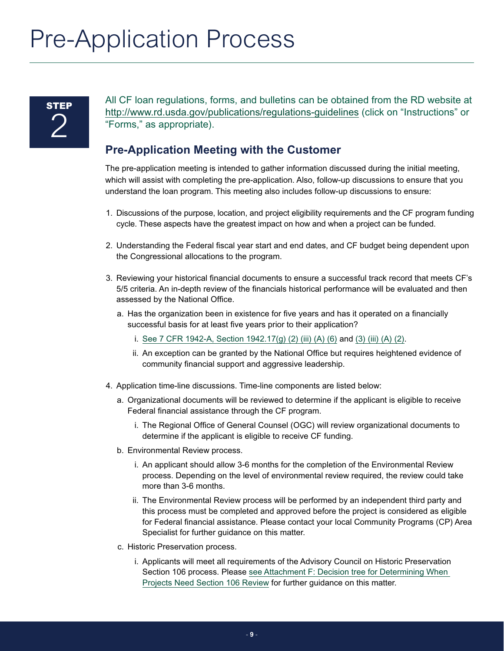# <span id="page-8-0"></span>Pre-Application Process

# **STEP** 2

All CF loan regulations, forms, and bulletins can be obtained from the RD website at [http://www.rd.usda.gov/publications/regulations-guidelines](https://www.rd.usda.gov/publications/regulations-guidelines) (click on "Instructions" or "Forms," as appropriate).

# **Pre-Application Meeting with the Customer**

The pre-application meeting is intended to gather information discussed during the initial meeting, which will assist with completing the pre-application. Also, follow-up discussions to ensure that you understand the loan program. This meeting also includes follow-up discussions to ensure:

- 1. Discussions of the purpose, location, and project eligibility requirements and the CF program funding cycle. These aspects have the greatest impact on how and when a project can be funded.
- 2. Understanding the Federal fiscal year start and end dates, and CF budget being dependent upon the Congressional allocations to the program.
- 3. Reviewing your historical financial documents to ensure a successful track record that meets CF's 5/5 criteria. An in-depth review of the financials historical performance will be evaluated and then assessed by the National Office.
	- a. Has the organization been in existence for five years and has it operated on a financially successful basis for at least five years prior to their application?
		- i. [See 7 CFR 1942-A, Section 1942.17\(g\) \(2\) \(iii\) \(A\) \(6\)](https://www.rd.usda.gov/files/1942a.pdf#page=51) and [\(3\) \(iii\) \(A\) \(2\)](https://www.rd.usda.gov/files/1942a.pdf#page=55).
		- ii. An exception can be granted by the National Office but requires heightened evidence of community financial support and aggressive leadership.
- 4. Application time-line discussions. Time-line components are listed below:
	- a. Organizational documents will be reviewed to determine if the applicant is eligible to receive Federal financial assistance through the CF program.
		- i. The Regional Office of General Counsel (OGC) will review organizational documents to determine if the applicant is eligible to receive CF funding.
	- b. Environmental Review process.
		- i. An applicant should allow 3-6 months for the completion of the Environmental Review process. Depending on the level of environmental review required, the review could take more than 3-6 months.
		- ii. The Environmental Review process will be performed by an independent third party and this process must be completed and approved before the project is considered as eligible for Federal financial assistance. Please contact your local Community Programs (CP) Area Specialist for further guidance on this matter.
	- c. Historic Preservation process.
		- i. Applicants will meet all requirements of the Advisory Council on Historic Preservation Section 106 process. Please [see Attachment F: Decision tree for Determining When](#page-35-0) [Projects Need Section 106 Review](#page-35-0) for further guidance on this matter.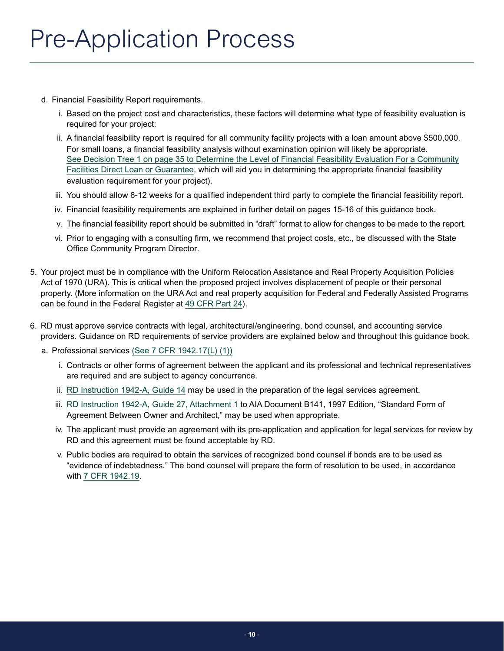- d. Financial Feasibility Report requirements.
	- i. Based on the project cost and characteristics, these factors will determine what type of feasibility evaluation is required for your project:
	- ii. A financial feasibility report is required for all community facility projects with a loan amount above \$500,000. For small loans, a financial feasibility analysis without examination opinion will likely be appropriate. See Decision Tree 1 on page 35 [to Determine the Level of Financial Feasibility Evaluation For a Community](#page-34-1) [Facilities Direct Loan or Guarantee](#page-34-1), which will aid you in determining the appropriate financial feasibility evaluation requirement for your project).
	- iii. You should allow 6-12 weeks for a qualified independent third party to complete the financial feasibility report.
	- iv. Financial feasibility requirements are explained in further detail on pages 15-16 of this guidance book.
	- v. The financial feasibility report should be submitted in "draft" format to allow for changes to be made to the report.
	- vi. Prior to engaging with a consulting firm, we recommend that project costs, etc., be discussed with the State Office Community Program Director.
- 5. Your project must be in compliance with the Uniform Relocation Assistance and Real Property Acquisition Policies Act of 1970 (URA). This is critical when the proposed project involves displacement of people or their personal property. (More information on the URA Act and real property acquisition for Federal and Federally Assisted Programs can be found in the Federal Register at [49 CFR Part 24\)](https://www.hudexchange.info/resource/804/ura-and-real-property-acquisition-policies-act-49-cfr-part-24/).
- 6. RD must approve service contracts with legal, architectural/engineering, bond counsel, and accounting service providers. Guidance on RD requirements of service providers are explained below and throughout this guidance book.
	- a. Professional services [\(See 7 CFR 1942.17\(L\) \(1\)\)](https://www.rd.usda.gov/files/1942a.pdf#page=74)
		- i. Contracts or other forms of agreement between the applicant and its professional and technical representatives are required and are subject to agency concurrence.
		- ii. [RD Instruction 1942-A, Guide 14](https://www.rd.usda.gov/files/1942a.pdf#page=195) may be used in the preparation of the legal services agreement.
		- iii. [RD Instruction 1942-A, Guide 27, Attachment 1](https://www.rd.usda.gov/files/1942a.pdf#page=286) to AIA Document B141, 1997 Edition, "Standard Form of Agreement Between Owner and Architect," may be used when appropriate.
		- iv. The applicant must provide an agreement with its pre-application and application for legal services for review by RD and this agreement must be found acceptable by RD.
		- v. Public bodies are required to obtain the services of recognized bond counsel if bonds are to be used as "evidence of indebtedness." The bond counsel will prepare the form of resolution to be used, in accordance with [7 CFR 1942.19](https://www.rd.usda.gov/files/1942a.pdf#page=120).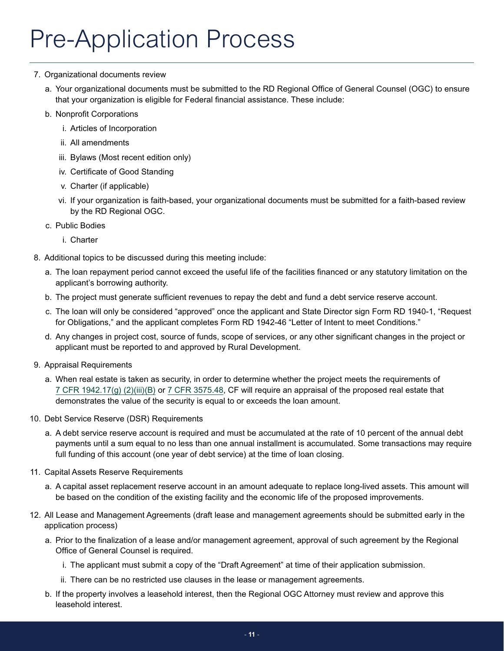# Pre-Application Process

## 7. Organizational documents review

- a. Your organizational documents must be submitted to the RD Regional Office of General Counsel (OGC) to ensure that your organization is eligible for Federal financial assistance. These include:
- b. Nonprofit Corporations
	- i. Articles of Incorporation
	- ii. All amendments
	- iii. Bylaws (Most recent edition only)
	- iv. Certificate of Good Standing
	- v. Charter (if applicable)
	- vi. If your organization is faith-based, your organizational documents must be submitted for a faith-based review by the RD Regional OGC.
- c. Public Bodies
	- i. Charter
- 8. Additional topics to be discussed during this meeting include:
	- a. The loan repayment period cannot exceed the useful life of the facilities financed or any statutory limitation on the applicant's borrowing authority.
	- b. The project must generate sufficient revenues to repay the debt and fund a debt service reserve account.
	- c. The loan will only be considered "approved" once the applicant and State Director sign Form RD 1940-1, "Request for Obligations," and the applicant completes Form RD 1942-46 "Letter of Intent to meet Conditions."
	- d. Any changes in project cost, source of funds, scope of services, or any other significant changes in the project or applicant must be reported to and approved by Rural Development.
- 9. Appraisal Requirements
	- a. When real estate is taken as security, in order to determine whether the project meets the requirements of [7 CFR 1942.17\(g\) \(2\)\(iii\)\(B\)](https://www.rd.usda.gov/files/1942a.pdf#page=52) or [7 CFR 3575.48](https://www.rd.usda.gov/files/3575a.pdf#page=33), CF will require an appraisal of the proposed real estate that demonstrates the value of the security is equal to or exceeds the loan amount.
- 10. Debt Service Reserve (DSR) Requirements
	- a. A debt service reserve account is required and must be accumulated at the rate of 10 percent of the annual debt payments until a sum equal to no less than one annual installment is accumulated. Some transactions may require full funding of this account (one year of debt service) at the time of loan closing.
- 11. Capital Assets Reserve Requirements
	- a. A capital asset replacement reserve account in an amount adequate to replace long-lived assets. This amount will be based on the condition of the existing facility and the economic life of the proposed improvements.
- 12. All Lease and Management Agreements (draft lease and management agreements should be submitted early in the application process)
	- a. Prior to the finalization of a lease and/or management agreement, approval of such agreement by the Regional Office of General Counsel is required.
		- i. The applicant must submit a copy of the "Draft Agreement" at time of their application submission.
		- ii. There can be no restricted use clauses in the lease or management agreements.
	- b. If the property involves a leasehold interest, then the Regional OGC Attorney must review and approve this leasehold interest.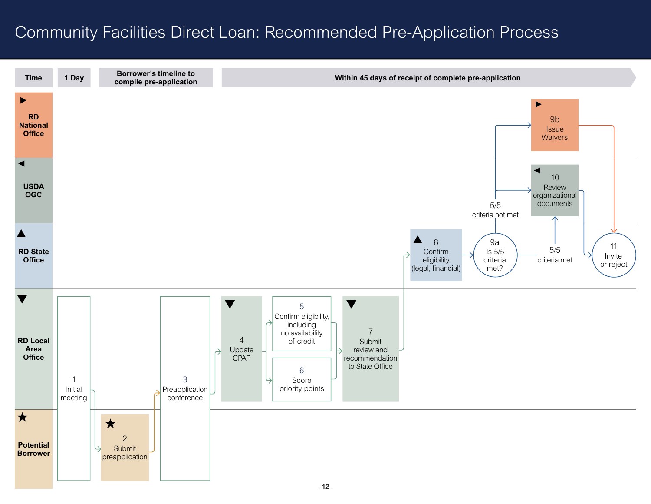# <span id="page-11-0"></span>Community Facilities Direct Loan: Recommended Pre-Application Process

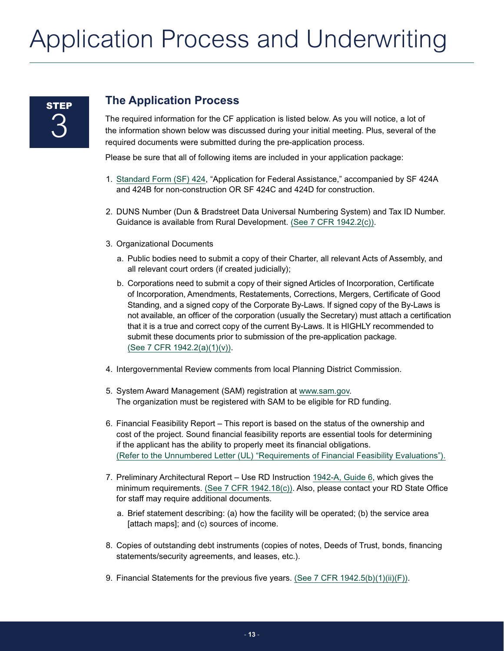# <span id="page-12-0"></span>**STEP** 3

## **The Application Process**

The required information for the CF application is listed below. As you will notice, a lot of the information shown below was discussed during your initial meeting. Plus, several of the required documents were submitted during the pre-application process.

Please be sure that all of following items are included in your application package:

- 1. [Standard Form \(SF\) 424,](https://www.grants.gov/web/grants/forms/sf-424-family.html) "Application for Federal Assistance," accompanied by SF 424A and 424B for non-construction OR SF 424C and 424D for construction.
- 2. DUNS Number (Dun & Bradstreet Data Universal Numbering System) and Tax ID Number. Guidance is available from Rural Development. [\(See 7 CFR 1942.2\(c\)\)](https://www.rd.usda.gov/files/1942a.pdf#page=8).
- 3. Organizational Documents
	- a. Public bodies need to submit a copy of their Charter, all relevant Acts of Assembly, and all relevant court orders (if created judicially);
	- b. Corporations need to submit a copy of their signed Articles of Incorporation, Certificate of Incorporation, Amendments, Restatements, Corrections, Mergers, Certificate of Good Standing, and a signed copy of the Corporate By-Laws. If signed copy of the By-Laws is not available, an officer of the corporation (usually the Secretary) must attach a certification that it is a true and correct copy of the current By-Laws. It is HIGHLY recommended to submit these documents prior to submission of the pre-application package. [\(See 7 CFR 1942.2\(a\)\(1\)\(v\)\).](https://www.rd.usda.gov/files/1942a.pdf#page=6)
- 4. Intergovernmental Review comments from local Planning District Commission.
- 5. System Award Management (SAM) registration at [www.sam.gov.](https://www.sam.gov/SAM/) The organization must be registered with SAM to be eligible for RD funding.
- 6. Financial Feasibility Report This report is based on the status of the ownership and cost of the project. Sound financial feasibility reports are essential tools for determining if the applicant has the ability to properly meet its financial obligations. [\(Refer to the Unnumbered Letter \(UL\) "Requirements of Financial Feasibility Evaluations"\).](https://www.rd.usda.gov/files/RDUL-Feasibility.pdf)
- 7. Preliminary Architectural Report Use RD Instruction [1942-A, Guide 6,](https://www.rd.usda.gov/files/1942a.pdf#page=164) which gives the minimum requirements. [\(See 7 CFR 1942.18\(c\)\)](https://www.rd.usda.gov/files/1942a.pdf#page=96). Also, please contact your RD State Office for staff may require additional documents.
	- a. Brief statement describing: (a) how the facility will be operated; (b) the service area [attach maps]; and (c) sources of income.
- 8. Copies of outstanding debt instruments (copies of notes, Deeds of Trust, bonds, financing statements/security agreements, and leases, etc.).
- 9. Financial Statements for the previous five years. [\(See 7 CFR 1942.5\(b\)\(1\)\(ii\)\(F\)\)](https://www.rd.usda.gov/files/1942a.pdf#page=13).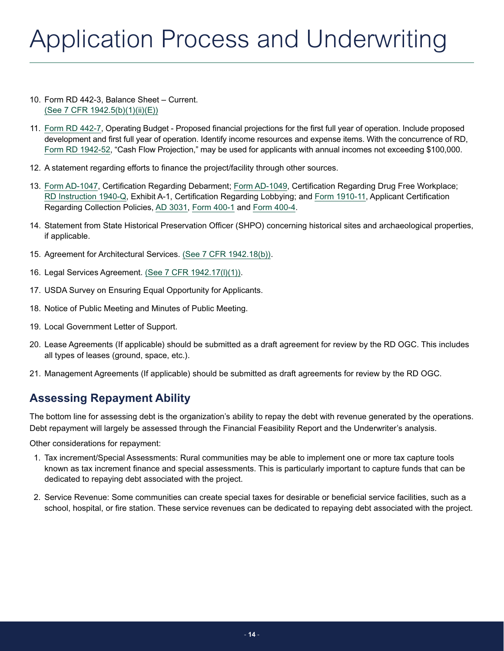- <span id="page-13-0"></span>10. Form RD 442-3, Balance Sheet – Current. [\(See 7 CFR 1942.5\(b\)\(1\)\(ii\)\(E\)\)](https://www.rd.usda.gov/files/1942a.pdf#page=13)
- 11. [Form RD 442-7,](https://forms.sc.egov.usda.gov//efcommon/eFileServices/eForms/RD442-7.PDF) Operating Budget Proposed financial projections for the first full year of operation. Include proposed development and first full year of operation. Identify income resources and expense items. With the concurrence of RD, [Form RD 1942-52](https://forms.sc.egov.usda.gov//efcommon/eFileServices/eForms/RD1942-52.PDF), "Cash Flow Projection," may be used for applicants with annual incomes not exceeding \$100,000.
- 12. A statement regarding efforts to finance the project/facility through other sources.
- 13. [Form AD-1047](https://www.grants.gov/web/grants/forms/r-r-family.html), Certification Regarding Debarment; [Form AD-1049](https://www.grants.gov/web/grants/forms/r-r-family.html), Certification Regarding Drug Free Workplace; [RD Instruction 1940-Q](https://www.rd.usda.gov/files/1940q.pdf#page=6), Exhibit A-1, Certification Regarding Lobbying; and [Form 1910-11,](https://forms.sc.egov.usda.gov//efcommon/eFileServices/eForms/RD1910-11.PDF) Applicant Certification Regarding Collection Policies, [AD 3031,](https://www.grants.gov/web/grants/forms/r-r-family.html) [Form 400-1](https://www.rd.usda.gov/files/vtnh.RBDG_.RD%20400-1.16.pdf) and [Form 400-4](https://forms.sc.egov.usda.gov/efcommon/eFileServices/eFormsAdmin/RD0400-0004_970300V01.pdf).
- 14. Statement from State Historical Preservation Officer (SHPO) concerning historical sites and archaeological properties, if applicable.
- 15. Agreement for Architectural Services. [\(See 7 CFR 1942.18\(b\)\)](https://www.rd.usda.gov/files/1942a.pdf#page=96).
- 16. Legal Services Agreement. [\(See 7 CFR 1942.17\(l\)\(1\)\)](https://www.rd.usda.gov/files/1942a.pdf#page=61).
- 17. USDA Survey on Ensuring Equal Opportunity for Applicants.
- 18. Notice of Public Meeting and Minutes of Public Meeting.
- 19. Local Government Letter of Support.
- 20. Lease Agreements (If applicable) should be submitted as a draft agreement for review by the RD OGC. This includes all types of leases (ground, space, etc.).
- 21. Management Agreements (If applicable) should be submitted as draft agreements for review by the RD OGC.

## **Assessing Repayment Ability**

The bottom line for assessing debt is the organization's ability to repay the debt with revenue generated by the operations. Debt repayment will largely be assessed through the Financial Feasibility Report and the Underwriter's analysis.

Other considerations for repayment:

- 1. Tax increment/Special Assessments: Rural communities may be able to implement one or more tax capture tools known as tax increment finance and special assessments. This is particularly important to capture funds that can be dedicated to repaying debt associated with the project.
- 2. Service Revenue: Some communities can create special taxes for desirable or beneficial service facilities, such as a school, hospital, or fire station. These service revenues can be dedicated to repaying debt associated with the project.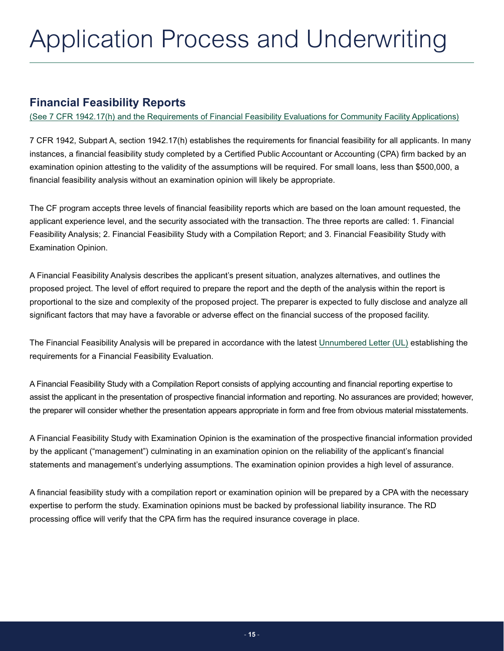## <span id="page-14-0"></span>**Financial Feasibility Reports**

(See 7 CFR 1942.17(h) and the [Requirements of Financial Feasibility Evaluations for Community Facility Applications\)](https://www.rd.usda.gov/files/1942a.pdf#page=56)

7 CFR 1942, Subpart A, section 1942.17(h) establishes the requirements for financial feasibility for all applicants. In many instances, a financial feasibility study completed by a Certified Public Accountant or Accounting (CPA) firm backed by an examination opinion attesting to the validity of the assumptions will be required. For small loans, less than \$500,000, a financial feasibility analysis without an examination opinion will likely be appropriate.

The CF program accepts three levels of financial feasibility reports which are based on the loan amount requested, the applicant experience level, and the security associated with the transaction. The three reports are called: 1. Financial Feasibility Analysis; 2. Financial Feasibility Study with a Compilation Report; and 3. Financial Feasibility Study with Examination Opinion.

A Financial Feasibility Analysis describes the applicant's present situation, analyzes alternatives, and outlines the proposed project. The level of effort required to prepare the report and the depth of the analysis within the report is proportional to the size and complexity of the proposed project. The preparer is expected to fully disclose and analyze all significant factors that may have a favorable or adverse effect on the financial success of the proposed facility.

The Financial Feasibility Analysis will be prepared in accordance with the latest [Unnumbered Letter \(UL\)](https://www.rd.usda.gov/files/RDUL-Feasibility.pdf) establishing the requirements for a Financial Feasibility Evaluation.

A Financial Feasibility Study with a Compilation Report consists of applying accounting and financial reporting expertise to assist the applicant in the presentation of prospective financial information and reporting. No assurances are provided; however, the preparer will consider whether the presentation appears appropriate in form and free from obvious material misstatements.

A Financial Feasibility Study with Examination Opinion is the examination of the prospective financial information provided by the applicant ("management") culminating in an examination opinion on the reliability of the applicant's financial statements and management's underlying assumptions. The examination opinion provides a high level of assurance.

A financial feasibility study with a compilation report or examination opinion will be prepared by a CPA with the necessary expertise to perform the study. Examination opinions must be backed by professional liability insurance. The RD processing office will verify that the CPA firm has the required insurance coverage in place.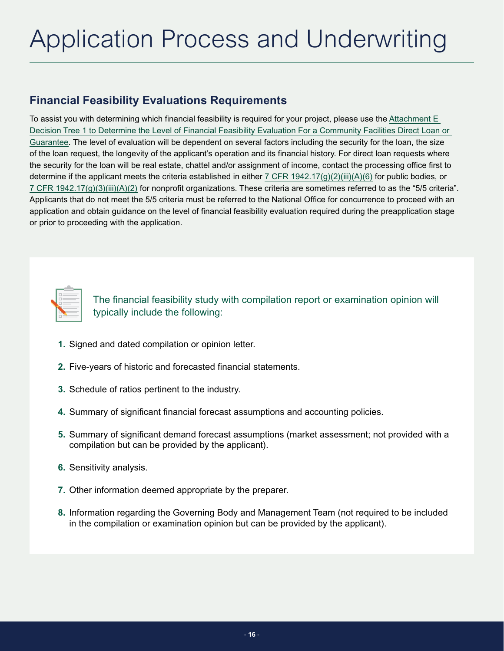## <span id="page-15-0"></span>**Financial Feasibility Evaluations Requirements**

To assist you with determining which financial feasibility is required for your project, please use the [Attachment E](#page-34-0)  [Decision Tree 1 to Determine the Level of Financial Feasibility Evaluation For a Community Facilities Direct Loan or](#page-34-0)  [Guarantee](#page-34-0). The level of evaluation will be dependent on several factors including the security for the loan, the size of the loan request, the longevity of the applicant's operation and its financial history. For direct loan requests where the security for the loan will be real estate, chattel and/or assignment of income, contact the processing office first to determine if the applicant meets the criteria established in either [7 CFR 1942.17\(g\)\(2\)\(iii\)\(A\)\(6\)](https://www.rd.usda.gov/files/1942a.pdf#page=51) for public bodies, or [7 CFR 1942.17\(g\)\(3\)\(iii\)\(A\)\(2\)](https://www.rd.usda.gov/files/1942a.pdf#page=53) for nonprofit organizations. These criteria are sometimes referred to as the "5/5 criteria". Applicants that do not meet the 5/5 criteria must be referred to the National Office for concurrence to proceed with an application and obtain guidance on the level of financial feasibility evaluation required during the preapplication stage or prior to proceeding with the application.



The financial feasibility study with compilation report or examination opinion will typically include the following:

- **1.** Signed and dated compilation or opinion letter.
- **2.** Five-years of historic and forecasted financial statements.
- **3.** Schedule of ratios pertinent to the industry.
- **4.** Summary of significant financial forecast assumptions and accounting policies.
- **5.** Summary of significant demand forecast assumptions (market assessment; not provided with a compilation but can be provided by the applicant).
- **6.** Sensitivity analysis.
- **7.** Other information deemed appropriate by the preparer.
- **8.** Information regarding the Governing Body and Management Team (not required to be included in the compilation or examination opinion but can be provided by the applicant).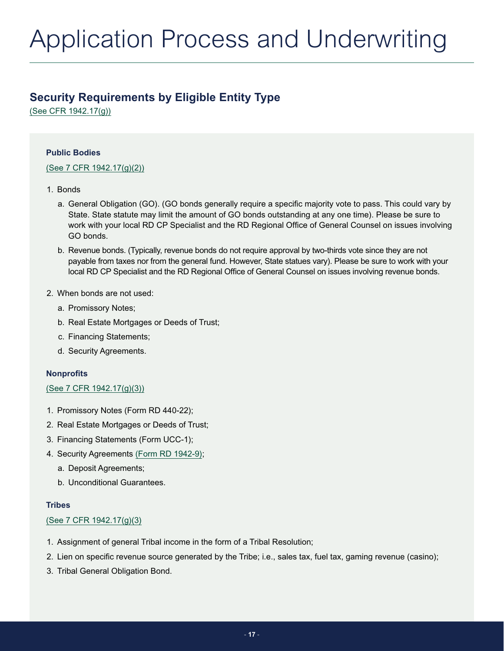## <span id="page-16-0"></span>**Security Requirements by Eligible Entity Type**

[\(See CFR 1942.17\(g\)\)](https://www.rd.usda.gov/files/1942a.pdf#page=48)

## **Public Bodies**

## [\(See 7 CFR 1942.17\(g\)\(2\)\)](https://www.rd.usda.gov/files/1942a.pdf#page=50)

## 1. Bonds

- a. General Obligation (GO). (GO bonds generally require a specific majority vote to pass. This could vary by State. State statute may limit the amount of GO bonds outstanding at any one time). Please be sure to work with your local RD CP Specialist and the RD Regional Office of General Counsel on issues involving GO bonds.
- b. Revenue bonds. (Typically, revenue bonds do not require approval by two-thirds vote since they are not payable from taxes nor from the general fund. However, State statues vary). Please be sure to work with your local RD CP Specialist and the RD Regional Office of General Counsel on issues involving revenue bonds.
- 2. When bonds are not used:
	- a. Promissory Notes;
	- b. Real Estate Mortgages or Deeds of Trust;
	- c. Financing Statements;
	- d. Security Agreements.

## **Nonprofits**

## (See 7 CFR [1942.17\(g\)\(3\)\)](https://www.rd.usda.gov/files/1942a.pdf#page=53)

- 1. Promissory Notes (Form RD 440-22);
- 2. Real Estate Mortgages or Deeds of Trust;
- 3. Financing Statements (Form UCC-1);
- 4. Security Agreements [\(Form RD 1942-9\);](https://forms.sc.egov.usda.gov//efcommon/eFileServices/eForms/RD1942-9.PDF)
	- a. Deposit Agreements;
	- b. Unconditional Guarantees.

### **Tribes**

## [\(See 7 CFR 1942.17\(g\)\(3\)](https://www.rd.usda.gov/files/1942a.pdf#page=53)

- 1. Assignment of general Tribal income in the form of a Tribal Resolution;
- 2. Lien on specific revenue source generated by the Tribe; i.e., sales tax, fuel tax, gaming revenue (casino);
- 3. Tribal General Obligation Bond.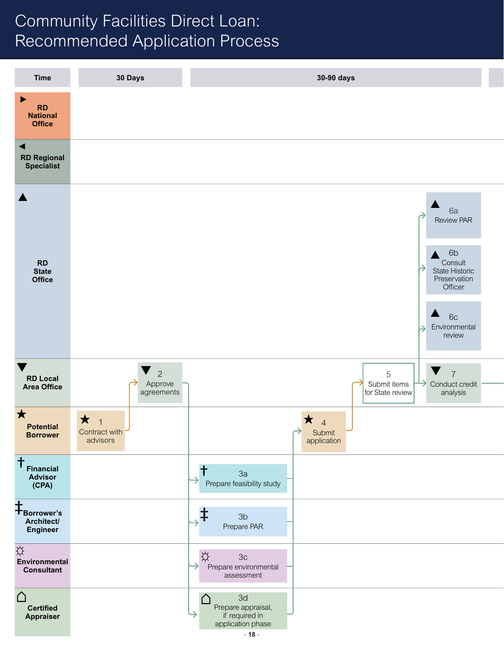# <span id="page-17-0"></span>Community Facilities Direct Loan: Recommended Application Process

| <b>Time</b>                                                                                        | 30 Days                                                         | 30-90 days                                                                                                                                                                   |
|----------------------------------------------------------------------------------------------------|-----------------------------------------------------------------|------------------------------------------------------------------------------------------------------------------------------------------------------------------------------|
| $\blacktriangleright$<br>RD<br>National<br><b>Office</b>                                           |                                                                 |                                                                                                                                                                              |
| $\blacktriangleleft$<br><b>RD Regional</b><br>Specialist                                           |                                                                 |                                                                                                                                                                              |
| $\blacktriangle$<br>RD<br>State<br>Office                                                          |                                                                 | 6a<br><b>Review PAR</b><br>6b<br>Consult<br>State Historic<br>Preservation<br>Officer                                                                                        |
| v<br><b>RD Local</b><br><b>Area Office</b>                                                         | $\blacktriangledown$<br>$\overline{c}$<br>Approve<br>agreements | 6c<br>$\blacktriangle$<br>Environmental<br>△<br>review<br>$\blacktriangledown$<br>$\overline{7}$<br>5<br>Submit items<br>for State review<br>Conduct credit<br>→<br>analysis |
| $\star$<br><b>Potential</b><br><b>Borrower</b>                                                     | $\star$<br>$\overline{1}$<br>Contract with<br>advisors          | $\star$ 4<br>Submit<br>$\rightarrow$<br>application                                                                                                                          |
| $\begin{array}{c} \mathsf{T}_{\mathsf{Financial} \\\mathsf{Advisor} \\ \mathsf{(CPA)} \end{array}$ |                                                                 | 3a<br>Prepare feasibility study                                                                                                                                              |
| $\ddagger$ Borrower's<br>Architect/<br>Engineer                                                    |                                                                 | $\ddagger$<br>3 <sub>b</sub><br>Prepare PAR                                                                                                                                  |
| ☆<br>Environmental<br><b>Consultant</b>                                                            |                                                                 | <b>☆</b><br>3c<br>Prepare environmental<br>assessment                                                                                                                        |
| $\triangle$<br><b>Certified<br/>Appraiser</b>                                                      |                                                                 | $3d$<br>Prepare appraisal,<br>if required in<br>application phase<br>$-18-$                                                                                                  |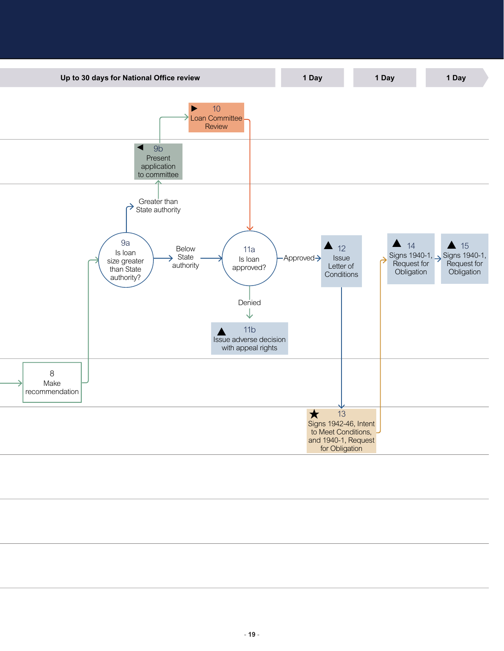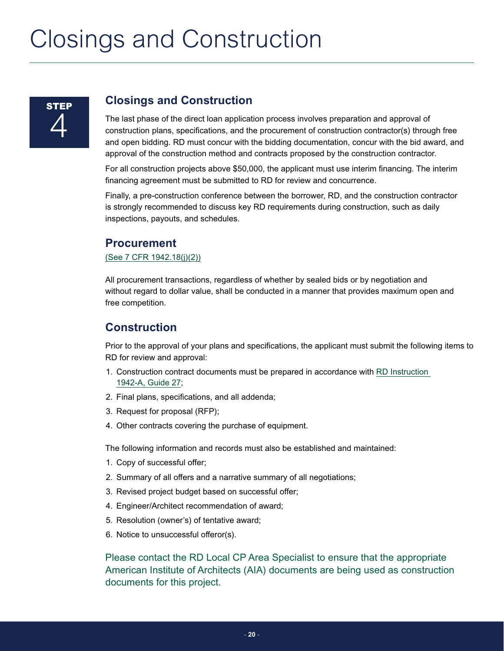# <span id="page-19-0"></span>Closings and Construction

## **Closings and Construction**

The last phase of the direct loan application process involves preparation and approval of construction plans, specifications, and the procurement of construction contractor(s) through free and open bidding. RD must concur with the bidding documentation, concur with the bid award, and approval of the construction method and contracts proposed by the construction contractor.

For all construction projects above \$50,000, the applicant must use interim financing. The interim financing agreement must be submitted to RD for review and concurrence.

Finally, a pre-construction conference between the borrower, RD, and the construction contractor is strongly recommended to discuss key RD requirements during construction, such as daily inspections, payouts, and schedules.

## **Procurement**

## [\(See 7 CFR 1942.18\(j\)\(2\)\)](https://www.rd.usda.gov/files/1942a.pdf#page=104)

All procurement transactions, regardless of whether by sealed bids or by negotiation and without regard to dollar value, shall be conducted in a manner that provides maximum open and free competition.

## **Construction**

Prior to the approval of your plans and specifications, the applicant must submit the following items to RD for review and approval:

- 1. Construction contract documents must be prepared in accordance with [RD Instruction](https://www.rd.usda.gov/files/1942a.pdf#page=286)  [1942-A, Guide 27;](https://www.rd.usda.gov/files/1942a.pdf#page=286)
- 2. Final plans, specifications, and all addenda;
- 3. Request for proposal (RFP);
- 4. Other contracts covering the purchase of equipment.

The following information and records must also be established and maintained:

- 1. Copy of successful offer;
- 2. Summary of all offers and a narrative summary of all negotiations;
- 3. Revised project budget based on successful offer;
- 4. Engineer/Architect recommendation of award;
- 5. Resolution (owner's) of tentative award;
- 6. Notice to unsuccessful offeror(s).

Please contact the RD Local CP Area Specialist to ensure that the appropriate American Institute of Architects (AIA) documents are being used as construction documents for this project.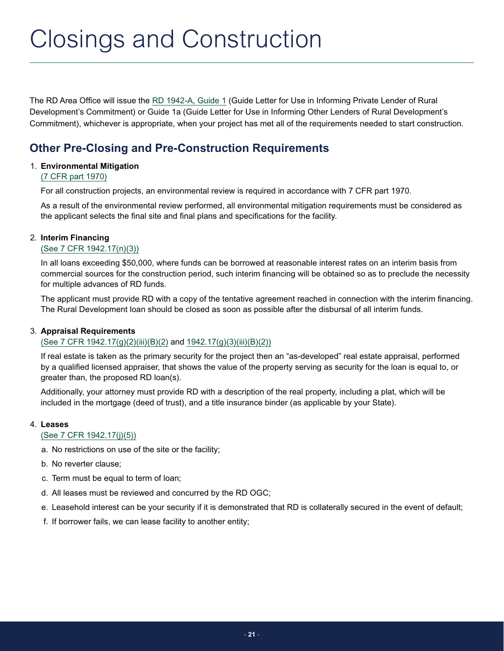# <span id="page-20-0"></span>Closings and Construction

The RD Area Office will issue the [RD 1942-A, Guide 1](https://www.rd.usda.gov/files/1942a.pdf#page=138) (Guide Letter for Use in Informing Private Lender of Rural Development's Commitment) or Guide 1a (Guide Letter for Use in Informing Other Lenders of Rural Development's Commitment), whichever is appropriate, when your project has met all of the requirements needed to start construction.

# **Other Pre-Closing and Pre-Construction Requirements**

## 1. **Environmental Mitigation**

## [\(7 CFR part 1970\)](https://www.rd.usda.gov/files/1970a.pdf)

For all construction projects, an environmental review is required in accordance with 7 CFR part 1970.

As a result of the environmental review performed, all environmental mitigation requirements must be considered as the applicant selects the final site and final plans and specifications for the facility.

## 2. **Interim Financing**

## [\(See 7 CFR 1942.17\(n\)\(3\)\)](https://www.rd.usda.gov/files/1942a.pdf#page=79)

In all loans exceeding \$50,000, where funds can be borrowed at reasonable interest rates on an interim basis from commercial sources for the construction period, such interim financing will be obtained so as to preclude the necessity for multiple advances of RD funds.

The applicant must provide RD with a copy of the tentative agreement reached in connection with the interim financing. The Rural Development loan should be closed as soon as possible after the disbursal of all interim funds.

### 3. **Appraisal Requirements**

## [\(See 7 CFR 1942.17\(g\)\(2\)\(iii\)\(B\)\(2\)](https://www.rd.usda.gov/files/1942a.pdf#page=52) and [1942.17\(g\)\(3\)\(iii\)\(B\)\(2\)\)](https://www.rd.usda.gov/files/1942a.pdf#page=56)

If real estate is taken as the primary security for the project then an "as-developed" real estate appraisal, performed by a qualified licensed appraiser, that shows the value of the property serving as security for the loan is equal to, or greater than, the proposed RD loan(s).

Additionally, your attorney must provide RD with a description of the real property, including a plat, which will be included in the mortgage (deed of trust), and a title insurance binder (as applicable by your State).

### 4. **Leases**

### [\(See 7 CFR 1942.17\(j\)\(5\)\)](https://www.rd.usda.gov/files/1942a.pdf#page=69)

- a. No restrictions on use of the site or the facility;
- b. No reverter clause;
- c. Term must be equal to term of loan;
- d. All leases must be reviewed and concurred by the RD OGC;
- e. Leasehold interest can be your security if it is demonstrated that RD is collaterally secured in the event of default;
- f. If borrower fails, we can lease facility to another entity;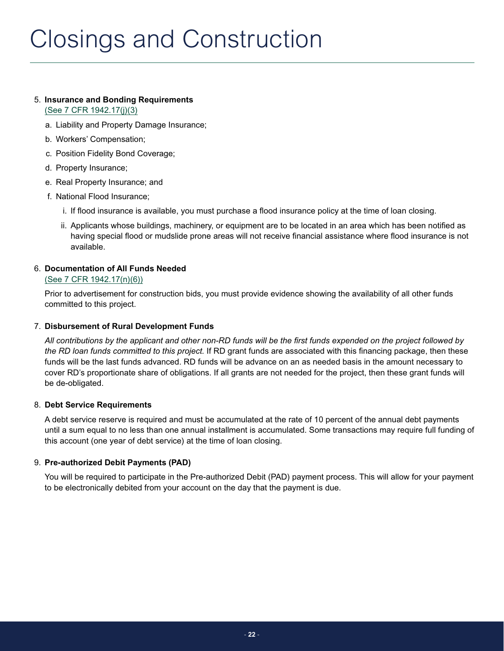# 5. **Insurance and Bonding Requirements**

[\(See 7 CFR 1942.17\(j\)\(3\)](https://www.rd.usda.gov/files/1942a.pdf#page=62)

- a. Liability and Property Damage Insurance;
- b. Workers' Compensation;
- c. Position Fidelity Bond Coverage;
- d. Property Insurance;
- e. Real Property Insurance; and
- f. National Flood Insurance;
	- i. If flood insurance is available, you must purchase a flood insurance policy at the time of loan closing.
	- ii. Applicants whose buildings, machinery, or equipment are to be located in an area which has been notified as having special flood or mudslide prone areas will not receive financial assistance where flood insurance is not available.

## 6. **Documentation of All Funds Needed**

## [\(See 7 CFR 1942.17\(n\)\(6\)\)](https://www.rd.usda.gov/files/1942a.pdf#page=80)

Prior to advertisement for construction bids, you must provide evidence showing the availability of all other funds committed to this project.

## 7. **Disbursement of Rural Development Funds**

*All contributions by the applicant and other non-RD funds will be the first funds expended on the project followed by the RD loan funds committed to this project.* If RD grant funds are associated with this financing package, then these funds will be the last funds advanced. RD funds will be advance on an as needed basis in the amount necessary to cover RD's proportionate share of obligations. If all grants are not needed for the project, then these grant funds will be de-obligated.

## 8. **Debt Service Requirements**

A debt service reserve is required and must be accumulated at the rate of 10 percent of the annual debt payments until a sum equal to no less than one annual installment is accumulated. Some transactions may require full funding of this account (one year of debt service) at the time of loan closing.

## 9. **Pre-authorized Debit Payments (PAD)**

You will be required to participate in the Pre-authorized Debit (PAD) payment process. This will allow for your payment to be electronically debited from your account on the day that the payment is due.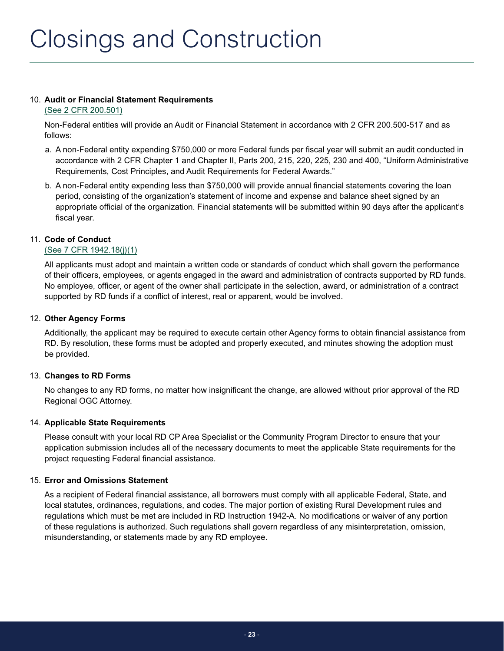## 10. **Audit or Financial Statement Requirements**

### [\(See 2 CFR 200.501\)](https://www.ecfr.gov/cgi-bin/text-idx?SID=09908b59ac3f9ddd39230c050076cd55&mc=true&node=se2.1.200_1501&rgn=div8)

Non-Federal entities will provide an Audit or Financial Statement in accordance with 2 CFR 200.500-517 and as follows:

- a. A non-Federal entity expending \$750,000 or more Federal funds per fiscal year will submit an audit conducted in accordance with 2 CFR Chapter 1 and Chapter II, Parts 200, 215, 220, 225, 230 and 400, "Uniform Administrative Requirements, Cost Principles, and Audit Requirements for Federal Awards."
- b. A non-Federal entity expending less than \$750,000 will provide annual financial statements covering the loan period, consisting of the organization's statement of income and expense and balance sheet signed by an appropriate official of the organization. Financial statements will be submitted within 90 days after the applicant's fiscal year.

## 11. **Code of Conduct**

## [\(See 7 CFR 1942.18\(j\)\(1\)](https://www.rd.usda.gov/files/1942a.pdf#page=104)

All applicants must adopt and maintain a written code or standards of conduct which shall govern the performance of their officers, employees, or agents engaged in the award and administration of contracts supported by RD funds. No employee, officer, or agent of the owner shall participate in the selection, award, or administration of a contract supported by RD funds if a conflict of interest, real or apparent, would be involved.

## 12. **Other Agency Forms**

Additionally, the applicant may be required to execute certain other Agency forms to obtain financial assistance from RD. By resolution, these forms must be adopted and properly executed, and minutes showing the adoption must be provided.

## 13. **Changes to RD Forms**

No changes to any RD forms, no matter how insignificant the change, are allowed without prior approval of the RD Regional OGC Attorney.

## 14. **Applicable State Requirements**

Please consult with your local RD CP Area Specialist or the Community Program Director to ensure that your application submission includes all of the necessary documents to meet the applicable State requirements for the project requesting Federal financial assistance.

## 15. **Error and Omissions Statement**

As a recipient of Federal financial assistance, all borrowers must comply with all applicable Federal, State, and local statutes, ordinances, regulations, and codes. The major portion of existing Rural Development rules and regulations which must be met are included in RD Instruction 1942-A. No modifications or waiver of any portion of these regulations is authorized. Such regulations shall govern regardless of any misinterpretation, omission, misunderstanding, or statements made by any RD employee.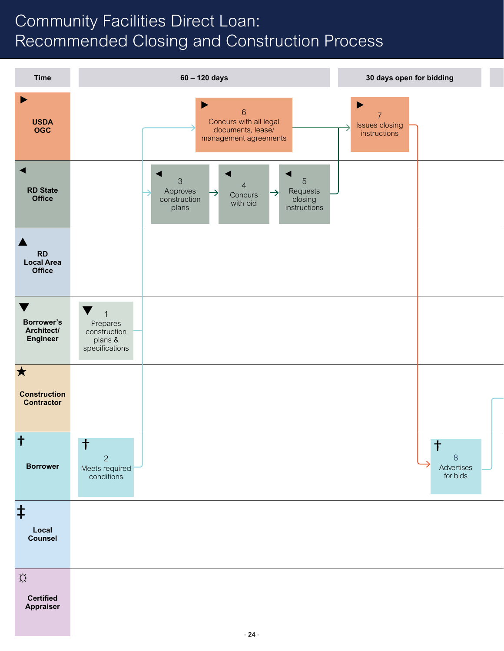# <span id="page-23-0"></span>Community Facilities Direct Loan: Recommended Closing and Construction Process

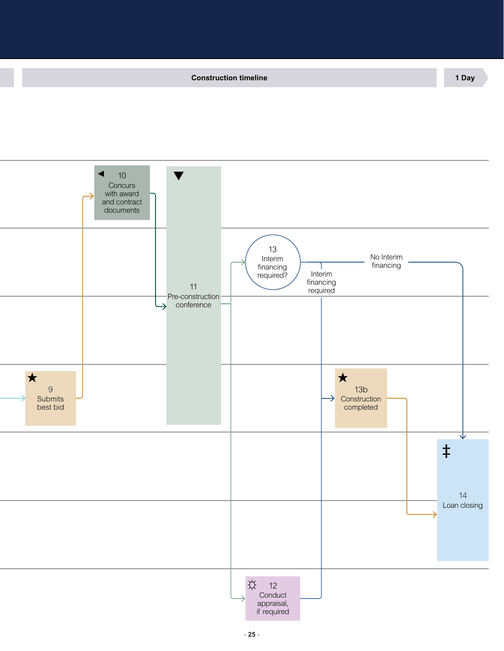**Time 60 – 120 days 30 days open for bidding Construction timeline 1 Day**



- **25** -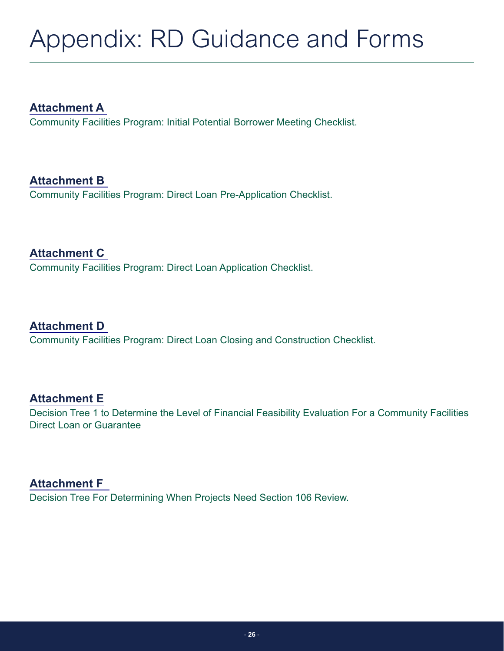# <span id="page-25-0"></span>Appendix: RD Guidance and Forms

**[Attachment A](#page-26-0)** Community Facilities Program: Initial Potential Borrower Meeting Checklist.

**[Attachment B](#page-28-0)** Community Facilities Program: Direct Loan Pre-Application Checklist.

**[Attachment C](#page-29-0)** Community Facilities Program: Direct Loan Application Checklist.

**[Attachment D](#page-31-0)** Community Facilities Program: Direct Loan Closing and Construction Checklist.

# **[Attachment E](#page-34-0)**

Decision Tree 1 to Determine the Level of Financial Feasibility Evaluation For a Community Facilities Direct Loan or Guarantee

**[Attachment F](#page-35-0)**  Decision Tree For Determining When Projects Need Section 106 Review.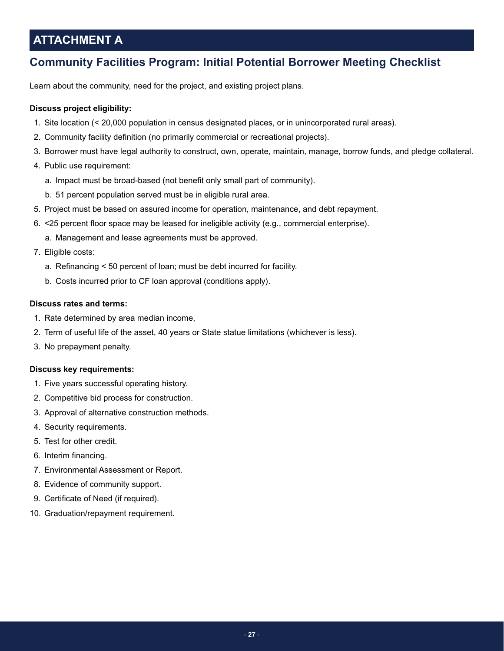# <span id="page-26-0"></span>**ATTACHMENT A**

# **Community Facilities Program: Initial Potential Borrower Meeting Checklist**

Learn about the community, need for the project, and existing project plans.

## **Discuss project eligibility:**

- 1. Site location (< 20,000 population in census designated places, or in unincorporated rural areas).
- 2. Community facility definition (no primarily commercial or recreational projects).
- 3. Borrower must have legal authority to construct, own, operate, maintain, manage, borrow funds, and pledge collateral.
- 4. Public use requirement:
	- a. Impact must be broad-based (not benefit only small part of community).
	- b. 51 percent population served must be in eligible rural area.
- 5. Project must be based on assured income for operation, maintenance, and debt repayment.
- 6. <25 percent floor space may be leased for ineligible activity (e.g., commercial enterprise).
	- a. Management and lease agreements must be approved.
- 7. Eligible costs:
	- a. Refinancing < 50 percent of loan; must be debt incurred for facility.
	- b. Costs incurred prior to CF loan approval (conditions apply).

## **Discuss rates and terms:**

- 1. Rate determined by area median income,
- 2. Term of useful life of the asset, 40 years or State statue limitations (whichever is less).
- 3. No prepayment penalty.

### **Discuss key requirements:**

- 1. Five years successful operating history.
- 2. Competitive bid process for construction.
- 3. Approval of alternative construction methods.
- 4. Security requirements.
- 5. Test for other credit.
- 6. Interim financing.
- 7. Environmental Assessment or Report.
- 8. Evidence of community support.
- 9. Certificate of Need (if required).
- 10. Graduation/repayment requirement.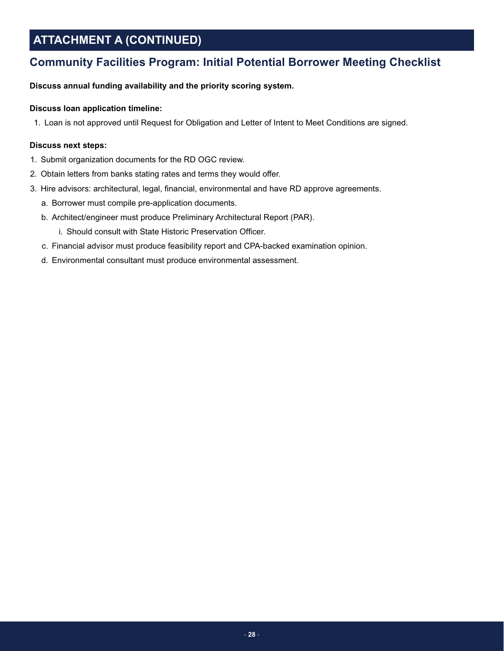# **ATTACHMENT A (CONTINUED)**

## **Community Facilities Program: Initial Potential Borrower Meeting Checklist**

**Discuss annual funding availability and the priority scoring system.**

## **Discuss loan application timeline:**

1. Loan is not approved until Request for Obligation and Letter of Intent to Meet Conditions are signed.

### **Discuss next steps:**

- 1. Submit organization documents for the RD OGC review.
- 2. Obtain letters from banks stating rates and terms they would offer.
- 3. Hire advisors: architectural, legal, financial, environmental and have RD approve agreements.
	- a. Borrower must compile pre-application documents.
	- b. Architect/engineer must produce Preliminary Architectural Report (PAR).
		- i. Should consult with State Historic Preservation Officer.
	- c. Financial advisor must produce feasibility report and CPA-backed examination opinion.
	- d. Environmental consultant must produce environmental assessment.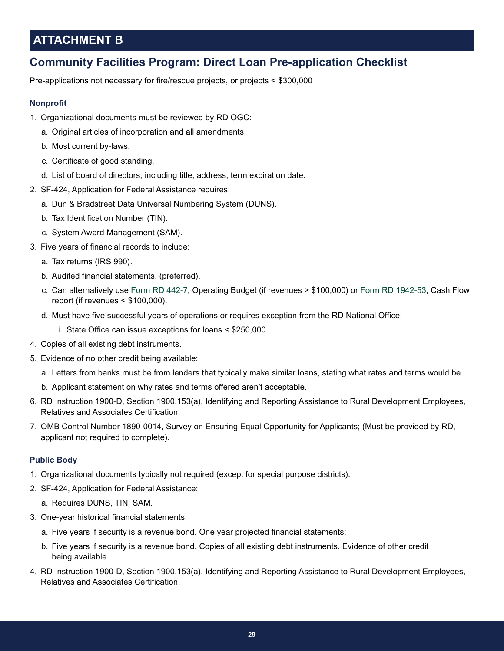# <span id="page-28-0"></span>**ATTACHMENT B**

## **Community Facilities Program: Direct Loan Pre-application Checklist**

Pre-applications not necessary for fire/rescue projects, or projects < \$300,000

## **Nonprofit**

- 1. Organizational documents must be reviewed by RD OGC:
	- a. Original articles of incorporation and all amendments.
	- b. Most current by-laws.
	- c. Certificate of good standing.
	- d. List of board of directors, including title, address, term expiration date.
- 2. SF-424, Application for Federal Assistance requires:
	- a. Dun & Bradstreet Data Universal Numbering System (DUNS).
	- b. Tax Identification Number (TIN).
	- c. System Award Management (SAM).
- 3. Five years of financial records to include:
	- a. Tax returns (IRS 990).
	- b. Audited financial statements. (preferred).
	- c. Can alternatively use [Form RD 442-7](https://forms.sc.egov.usda.gov//efcommon/eFileServices/eForms/RD442-7.PDF), Operating Budget (if revenues > \$100,000) or [Form RD 1942-53,](https://forms.sc.egov.usda.gov//efcommon/eFileServices/eForms/RD1942-53.PDF) Cash Flow report (if revenues < \$100,000).
	- d. Must have five successful years of operations or requires exception from the RD National Office.
		- i. State Office can issue exceptions for loans < \$250,000.
- 4. Copies of all existing debt instruments.
- 5. Evidence of no other credit being available:
	- a. Letters from banks must be from lenders that typically make similar loans, stating what rates and terms would be.
	- b. Applicant statement on why rates and terms offered aren't acceptable.
- 6. RD Instruction 1900-D, Section 1900.153(a), Identifying and Reporting Assistance to Rural Development Employees, Relatives and Associates Certification.
- 7. OMB Control Number 1890-0014, Survey on Ensuring Equal Opportunity for Applicants; (Must be provided by RD, applicant not required to complete).

### **Public Body**

- 1. Organizational documents typically not required (except for special purpose districts).
- 2. SF-424, Application for Federal Assistance:
	- a. Requires DUNS, TIN, SAM.
- 3. One-year historical financial statements:
	- a. Five years if security is a revenue bond. One year projected financial statements:
	- b. Five years if security is a revenue bond. Copies of all existing debt instruments. Evidence of other credit being available.
- 4. RD Instruction 1900-D, Section 1900.153(a), Identifying and Reporting Assistance to Rural Development Employees, Relatives and Associates Certification.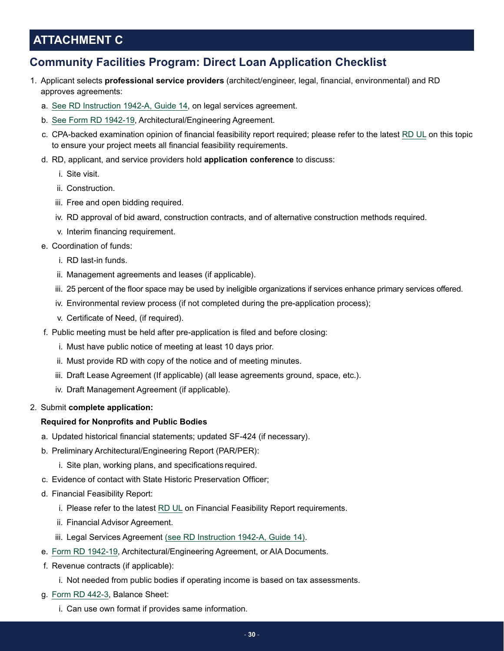# <span id="page-29-0"></span>**ATTACHMENT C**

## **Community Facilities Program: Direct Loan Application Checklist**

- 1. Applicant selects **professional service providers** (architect/engineer, legal, financial, environmental) and RD approves agreements:
	- a. [See RD Instruction 1942-A, Guide 14](https://www.rd.usda.gov/files/1942a.pdf#page=195), on legal services agreement.
	- b. [See Form RD 1942-19,](https://forms.sc.egov.usda.gov//efcommon/eFileServices/eForms/RD1942-19.PDF) Architectural/Engineering Agreement.
	- c. CPA-backed examination opinion of financial feasibility report required; please refer to the latest [RD UL](https://www.rd.usda.gov/files/RDUL-Feasibility.pdf) on this topic to ensure your project meets all financial feasibility requirements.
	- d. RD, applicant, and service providers hold **application conference** to discuss:
		- i. Site visit.
		- ii. Construction.
		- iii. Free and open bidding required.
		- iv. RD approval of bid award, construction contracts, and of alternative construction methods required.
		- v. Interim financing requirement.
	- e. Coordination of funds:
		- i. RD last-in funds.
		- ii. Management agreements and leases (if applicable).
		- iii. 25 percent of the floor space may be used by ineligible organizations if services enhance primary services offered.
		- iv. Environmental review process (if not completed during the pre-application process);
		- v. Certificate of Need, (if required).
	- f. Public meeting must be held after pre-application is filed and before closing:
		- i. Must have public notice of meeting at least 10 days prior.
		- ii. Must provide RD with copy of the notice and of meeting minutes.
		- iii. Draft Lease Agreement (If applicable) (all lease agreements ground, space, etc.).
		- iv. Draft Management Agreement (if applicable).
- 2. Submit **complete application:**

### **Required for Nonprofits and Public Bodies**

- a. Updated historical financial statements; updated SF-424 (if necessary).
- b. Preliminary Architectural/Engineering Report (PAR/PER):
	- i. Site plan, working plans, and specifications required.
- c. Evidence of contact with State Historic Preservation Officer;
- d. Financial Feasibility Report:
	- i. Please refer to the latest [RD UL](https://www.rd.usda.gov/files/RDUL-Feasibility.pdf) on Financial Feasibility Report requirements.
	- ii. Financial Advisor Agreement.
	- iii. Legal Services Agreement [\(see RD Instruction 1942-A, Guide 14\).](https://www.rd.usda.gov/files/1942a.pdf#page=195)
- e. [Form RD 1942-19](https://forms.sc.egov.usda.gov//efcommon/eFileServices/eForms/RD1942-19.PDF), Architectural/Engineering Agreement, or AIA Documents.
- f. Revenue contracts (if applicable):
	- i. Not needed from public bodies if operating income is based on tax assessments.
- g. [Form RD 442-3,](https://forms.sc.egov.usda.gov/eForms/browseFormsAction.do?pageAction=displayPDF&formIndex=1) Balance Sheet:
	- i. Can use own format if provides same information.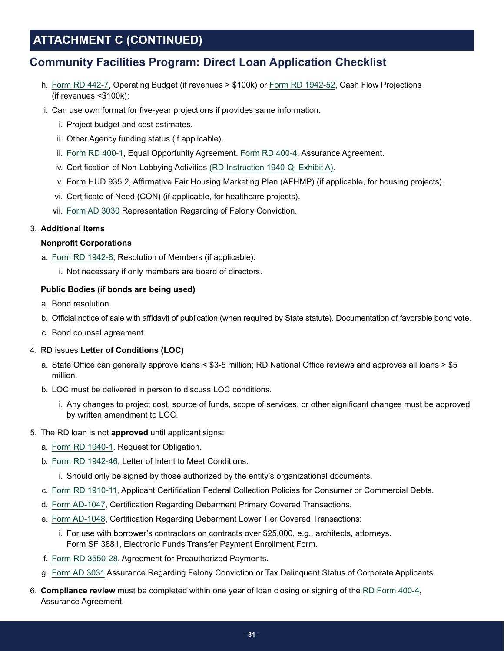# **ATTACHMENT C (CONTINUED)**

## **Community Facilities Program: Direct Loan Application Checklist**

- h. [Form RD 442-7,](https://forms.sc.egov.usda.gov//efcommon/eFileServices/eForms/RD442-7.PDF) Operating Budget (if revenues > \$100k) or [Form RD 1942-52](https://forms.sc.egov.usda.gov//efcommon/eFileServices/eForms/RD1942-52.PDF), Cash Flow Projections (if revenues <\$100k):
- i. Can use own format for five-year projections if provides same information.
	- i. Project budget and cost estimates.
	- ii. Other Agency funding status (if applicable).
	- iii. [Form RD 400-1,](https://www.rd.usda.gov/files/vtnh.RBDG_.RD%20400-1.16.pdf) Equal Opportunity Agreement. [Form RD 400-4](https://www.rd.usda.gov/files/vtnh.RBDG_.RD%20400-4.16.pdf), Assurance Agreement.
	- iv. Certification of Non-Lobbying Activities [\(RD Instruction 1940-Q, Exhibit A\)](https://www.rd.usda.gov/files/1940q.pdf#page=6).
	- v. Form HUD 935.2, Affirmative Fair Housing Marketing Plan (AFHMP) (if applicable, for housing projects).
	- vi. Certificate of Need (CON) (if applicable, for healthcare projects).
	- vii. [Form AD 3030](https://www.grants.gov/web/grants/forms/r-r-family.html) Representation Regarding of Felony Conviction.

## 3. **Additional Items**

### **Nonprofit Corporations**

- a. [Form RD 1942-8](https://forms.sc.egov.usda.gov/efcommon/eFileServices/eForms/RD1942-8.PDF), Resolution of Members (if applicable):
	- i. Not necessary if only members are board of directors.

## **Public Bodies (if bonds are being used)**

- a. Bond resolution.
- b. Official notice of sale with affidavit of publication (when required by State statute). Documentation of favorable bond vote.
- c. Bond counsel agreement.

## 4. RD issues **Letter of Conditions (LOC)**

- a. State Office can generally approve loans < \$3-5 million; RD National Office reviews and approves all loans > \$5 million.
- b. LOC must be delivered in person to discuss LOC conditions.
	- i. Any changes to project cost, source of funds, scope of services, or other significant changes must be approved by written amendment to LOC.

### 5. The RD loan is not **approved** until applicant signs:

- a. [Form RD 1940-1](https://forms.sc.egov.usda.gov//efcommon/eFileServices/eForms/RD1940-1.PDF), Request for Obligation.
- b. [Form RD 1942-46](https://forms.sc.egov.usda.gov//efcommon/eFileServices/eForms/RD1942-46.PDF), Letter of Intent to Meet Conditions.
	- i. Should only be signed by those authorized by the entity's organizational documents.
- c. [Form RD 1910-11](https://forms.sc.egov.usda.gov//efcommon/eFileServices/eForms/RD1910-11.PDF), Applicant Certification Federal Collection Policies for Consumer or Commercial Debts.
- d. [Form AD-1047](https://www.grants.gov/web/grants/forms/r-r-family.html), Certification Regarding Debarment Primary Covered Transactions.
- e. [Form AD-1048](https://www.grants.gov/web/grants/forms/r-r-family.html), Certification Regarding Debarment Lower Tier Covered Transactions:
	- i. For use with borrower's contractors on contracts over \$25,000, e.g., architects, attorneys. Form SF 3881, Electronic Funds Transfer Payment Enrollment Form.
- f. [Form RD 3550-28](https://forms.sc.egov.usda.gov/eForms/browseFormsAction.do?pageAction=displayPDF&formIndex=0), Agreement for Preauthorized Payments.
- g. [Form AD 3031](https://www.grants.gov/web/grants/forms/r-r-family.html) Assurance Regarding Felony Conviction or Tax Delinquent Status of Corporate Applicants.
- 6. **Compliance review** must be completed within one year of loan closing or signing of the [RD Form 400-4,](https://forms.sc.egov.usda.gov/eForms/browseFormsAction.do?pageAction=displayPDF&formIndex=0) Assurance Agreement.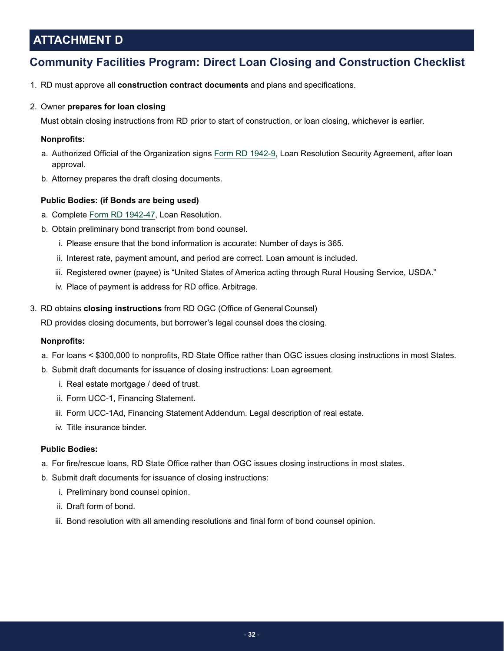# <span id="page-31-0"></span>**ATTACHMENT D**

# **Community Facilities Program: Direct Loan Closing and Construction Checklist**

1. RD must approve all **construction contract documents** and plans and specifications.

## 2. Owner **prepares for loan closing**

Must obtain closing instructions from RD prior to start of construction, or loan closing, whichever is earlier.

### **Nonprofits:**

- a. Authorized Official of the Organization signs [Form RD 1942-9,](https://forms.sc.egov.usda.gov//efcommon/eFileServices/eForms/RD1942-9.PDF) Loan Resolution Security Agreement, after loan approval.
- b. Attorney prepares the draft closing documents.

## **Public Bodies: (if Bonds are being used)**

- a. Complete [Form RD 1942-47,](https://forms.sc.egov.usda.gov/efcommon/eFileServices/eForms/RD1942-47.PDF) Loan Resolution.
- b. Obtain preliminary bond transcript from bond counsel.
	- i. Please ensure that the bond information is accurate: Number of days is 365.
	- ii. Interest rate, payment amount, and period are correct. Loan amount is included.
	- iii. Registered owner (payee) is "United States of America acting through Rural Housing Service, USDA."
	- iv. Place of payment is address for RD office. Arbitrage.
- 3. RD obtains **closing instructions** from RD OGC (Office of General Counsel)

RD provides closing documents, but borrower's legal counsel does the closing.

### **Nonprofits:**

- a. For loans < \$300,000 to nonprofits, RD State Office rather than OGC issues closing instructions in most States.
- b. Submit draft documents for issuance of closing instructions: Loan agreement.
	- i. Real estate mortgage / deed of trust.
	- ii. Form UCC-1, Financing Statement.
	- iii. Form UCC-1Ad, Financing Statement Addendum. Legal description of real estate.
	- iv. Title insurance binder.

### **Public Bodies:**

- a. For fire/rescue loans, RD State Office rather than OGC issues closing instructions in most states.
- b. Submit draft documents for issuance of closing instructions:
	- i. Preliminary bond counsel opinion.
	- ii. Draft form of bond.
	- iii. Bond resolution with all amending resolutions and final form of bond counsel opinion.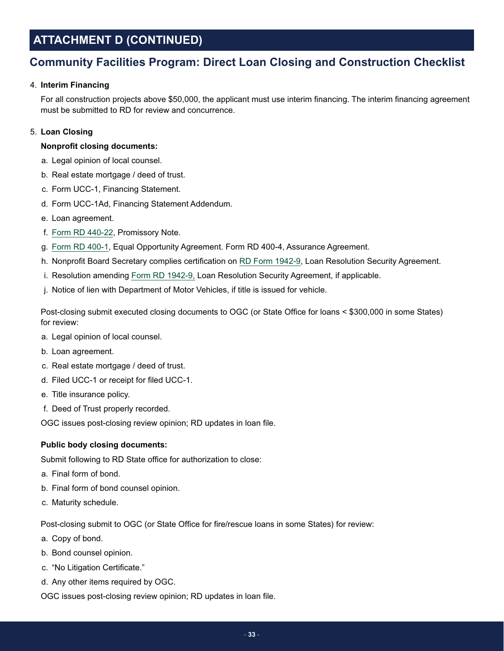# **ATTACHMENT D (CONTINUED)**

## **Community Facilities Program: Direct Loan Closing and Construction Checklist**

## 4. **Interim Financing**

For all construction projects above \$50,000, the applicant must use interim financing. The interim financing agreement must be submitted to RD for review and concurrence.

## 5. **Loan Closing**

### **Nonprofit closing documents:**

- a. Legal opinion of local counsel.
- b. Real estate mortgage / deed of trust.
- c. Form UCC-1, Financing Statement.
- d. Form UCC-1Ad, Financing Statement Addendum.
- e. Loan agreement.
- f. [Form RD 440-22](https://forms.sc.egov.usda.gov/efcommon/eFileServices/eForms/RD440-22.PDF), Promissory Note.
- g. [Form RD 400-1,](https://forms.sc.egov.usda.gov/efcommon/eFileServices/eForms/RD400-1.PDF) Equal Opportunity Agreement. Form RD 400-4, Assurance Agreement.
- h. Nonprofit Board Secretary complies certification on [RD Form 1942-9](https://forms.sc.egov.usda.gov/efcommon/eFileServices/eForms/RD1942-9.PDF), Loan Resolution Security Agreement.
- i. Resolution amending [Form RD 1942-9,](https://forms.sc.egov.usda.gov/efcommon/eFileServices/eForms/RD1942-9.PDF) Loan Resolution Security Agreement, if applicable.
- j. Notice of lien with Department of Motor Vehicles, if title is issued for vehicle.

Post-closing submit executed closing documents to OGC (or State Office for loans < \$300,000 in some States) for review:

- a. Legal opinion of local counsel.
- b. Loan agreement.
- c. Real estate mortgage / deed of trust.
- d. Filed UCC-1 or receipt for filed UCC-1.
- e. Title insurance policy.
- f. Deed of Trust properly recorded.

OGC issues post-closing review opinion; RD updates in loan file.

### **Public body closing documents:**

Submit following to RD State office for authorization to close:

- a. Final form of bond.
- b. Final form of bond counsel opinion.
- c. Maturity schedule.

Post-closing submit to OGC (or State Office for fire/rescue loans in some States) for review:

- a. Copy of bond.
- b. Bond counsel opinion.
- c. "No Litigation Certificate."
- d. Any other items required by OGC.

OGC issues post-closing review opinion; RD updates in loan file.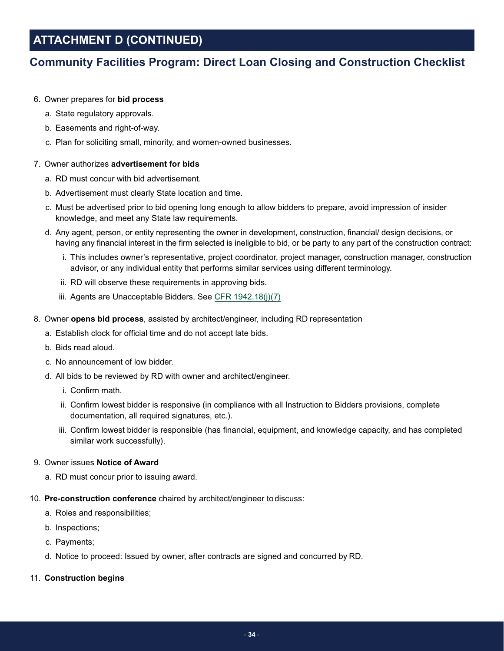# **ATTACHMENT D (CONTINUED)**

## **Community Facilities Program: Direct Loan Closing and Construction Checklist**

## 6. Owner prepares for **bid process**

- a. State regulatory approvals.
- b. Easements and right-of-way.
- c. Plan for soliciting small, minority, and women-owned businesses.

## 7. Owner authorizes **advertisement for bids**

- a. RD must concur with bid advertisement.
- b. Advertisement must clearly State location and time.
- c. Must be advertised prior to bid opening long enough to allow bidders to prepare, avoid impression of insider knowledge, and meet any State law requirements.
- d. Any agent, person, or entity representing the owner in development, construction, financial/ design decisions, or having any financial interest in the firm selected is ineligible to bid, or be party to any part of the construction contract:
	- i. This includes owner's representative, project coordinator, project manager, construction manager, construction advisor, or any individual entity that performs similar services using different terminology.
	- ii. RD will observe these requirements in approving bids.
	- iii. Agents are Unacceptable Bidders. See [CFR 1942.18\(j\)\(7\)](https://www.rd.usda.gov/files/1942a.pdf#page=106)
- 8. Owner **opens bid process**, assisted by architect/engineer, including RD representation
	- a. Establish clock for official time and do not accept late bids.
	- b. Bids read aloud.
	- c. No announcement of low bidder.
	- d. All bids to be reviewed by RD with owner and architect/engineer.
		- i. Confirm math.
		- ii. Confirm lowest bidder is responsive (in compliance with all Instruction to Bidders provisions, complete documentation, all required signatures, etc.).
		- iii. Confirm lowest bidder is responsible (has financial, equipment, and knowledge capacity, and has completed similar work successfully).

### 9. Owner issues **Notice of Award**

- a. RD must concur prior to issuing award.
- 10. **Pre-construction conference** chaired by architect/engineer to discuss:
	- a. Roles and responsibilities;
	- b. Inspections;
	- c. Payments;
	- d. Notice to proceed: Issued by owner, after contracts are signed and concurred by RD.

### 11. **Construction begins**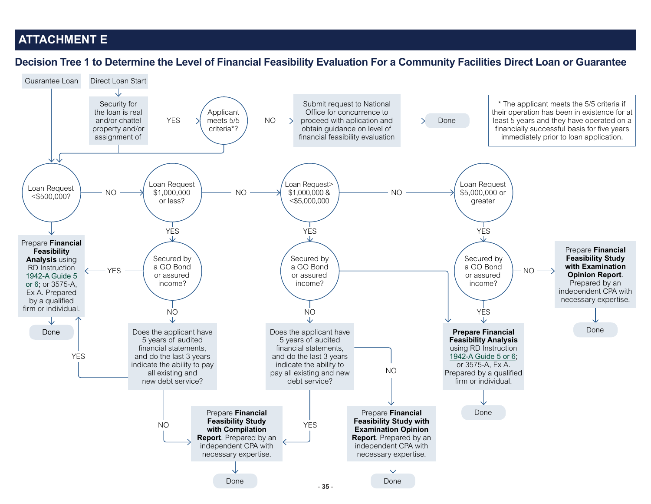## <span id="page-34-1"></span>**ATTACHMENT E**

**Decision Tree 1 to Determine the Level of Financial Feasibility Evaluation For a Community Facilities Direct Loan or Guarantee**

<span id="page-34-0"></span>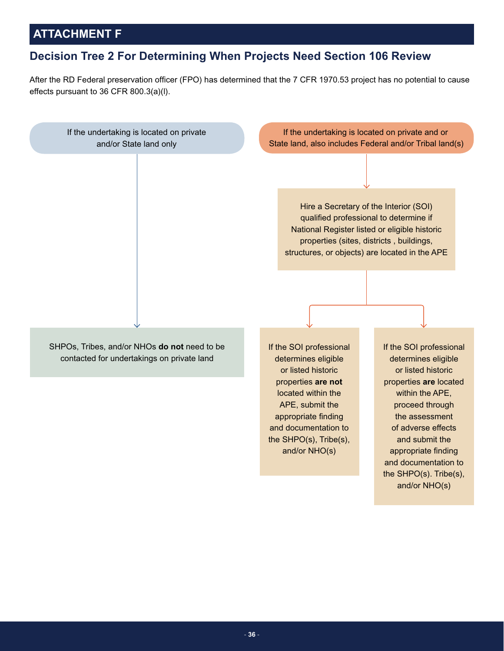# <span id="page-35-0"></span>**ATTACHMENT F**

## **Decision Tree 2 For Determining When Projects Need Section 106 Review**

After the RD Federal preservation officer (FPO) has determined that the 7 CFR 1970.53 project has no potential to cause effects pursuant to 36 CFR 800.3(a)(l).